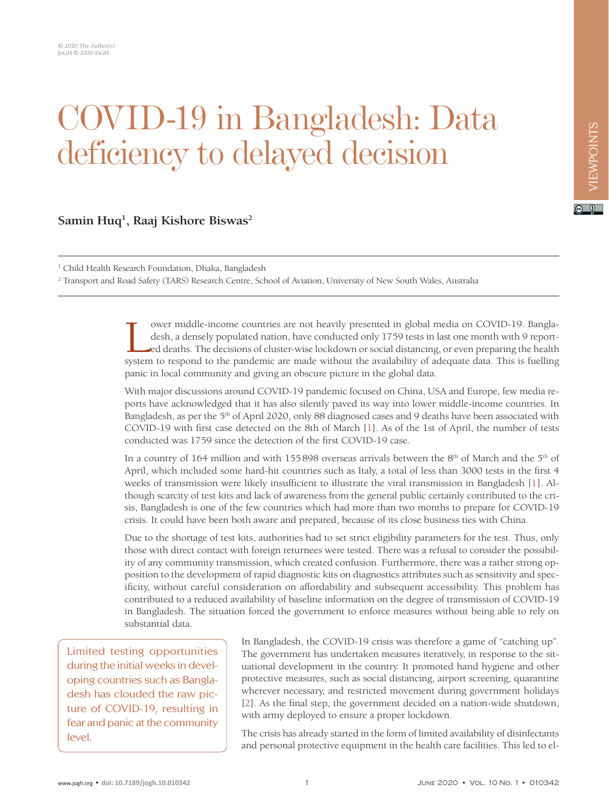## COVID-19 in Bangladesh: Data deficiency to delayed decision

## **Samin Huq1 , Raaj Kishore Biswas2**

<sup>1</sup> Child Health Research Foundation, Dhaka, Bangladesh

2 Transport and Road Safety (TARS) Research Centre, School of Aviation, University of New South Wales, Australia

ower middle-income countries are not heavily presented in global media on COVID-19. Bangla-<br>desh, a densely populated nation, have conducted only 1759 tests in last one month with 9 report-<br>ed deaths. The decisions of clus ower middle-income countries are not heavily presented in global media on COVID-19. Bangladesh, a densely populated nation, have conducted only 1759 tests in last one month with 9 reported deaths. The decisions of cluster-wise lockdown or social distancing, or even preparing the health panic in local community and giving an obscure picture in the global data.

With major discussions around COVID-19 pandemic focused on China, USA and Europe, few media reports have acknowledged that it has also silently paved its way into lower middle-income countries. In Bangladesh, as per the 5<sup>th</sup> of April 2020, only 88 diagnosed cases and 9 deaths have been associated with COVID-19 with first case detected on the 8th of March [[1](#page-2-0)]. As of the 1st of April, the number of tests conducted was 1759 since the detection of the first COVID-19 case.

In a country of 164 million and with 155898 overseas arrivals between the 8th of March and the 5th of April, which included some hard-hit countries such as Italy, a total of less than 3000 tests in the first 4 weeks of transmission were likely insufficient to illustrate the viral transmission in Bangladesh [[1](#page-2-0)]. Although scarcity of test kits and lack of awareness from the general public certainly contributed to the crisis, Bangladesh is one of the few countries which had more than two months to prepare for COVID-19 crisis. It could have been both aware and prepared, because of its close business ties with China.

Due to the shortage of test kits, authorities had to set strict eligibility parameters for the test. Thus, only those with direct contact with foreign returnees were tested. There was a refusal to consider the possibility of any community transmission, which created confusion. Furthermore, there was a rather strong opposition to the development of rapid diagnostic kits on diagnostics attributes such as sensitivity and specificity, without careful consideration on affordability and subsequent accessibility. This problem has contributed to a reduced availability of baseline information on the degree of transmission of COVID-19 in Bangladesh. The situation forced the government to enforce measures without being able to rely on substantial data.

Limited testing opportunities during the initial weeks in developing countries such as Bangladesh has clouded the raw picture of COVID-19, resulting in fear and panic at the community level.

In Bangladesh, the COVID-19 crisis was therefore a game of "catching up". The government has undertaken measures iteratively, in response to the situational development in the country. It promoted hand hygiene and other protective measures, such as social distancing, airport screening, quarantine wherever necessary, and restricted movement during government holidays [[2](#page-2-1)]. As the final step, the government decided on a nation-wide shutdown, with army deployed to ensure a proper lockdown.

The crisis has already started in the form of limited availability of disinfectants and personal protective equipment in the health care facilities. This led to el $\boxed{6}$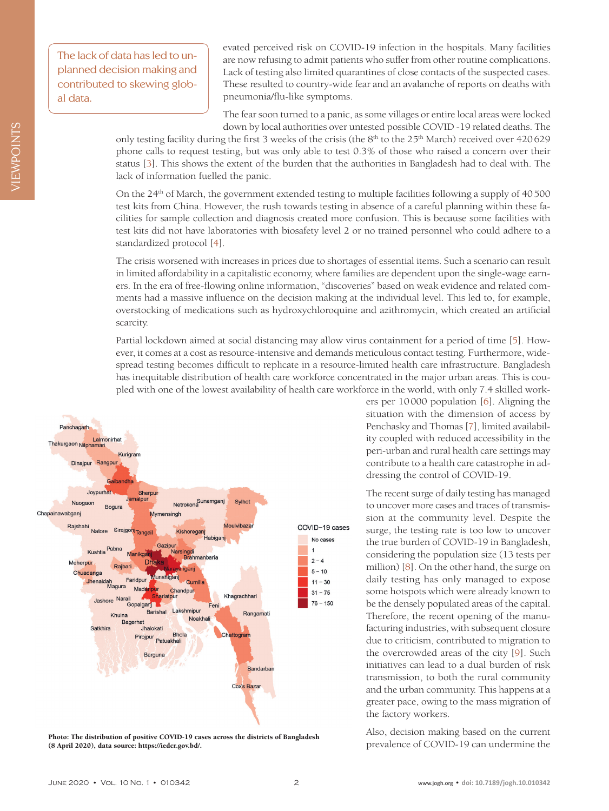The lack of data has led to unplanned decision making and contributed to skewing global data.

evated perceived risk on COVID-19 infection in the hospitals. Many facilities are now refusing to admit patients who suffer from other routine complications. Lack of testing also limited quarantines of close contacts of the suspected cases. These resulted to country-wide fear and an avalanche of reports on deaths with pneumonia/flu-like symptoms.

The fear soon turned to a panic, as some villages or entire local areas were locked down by local authorities over untested possible COVID -19 related deaths. The

only testing facility during the first 3 weeks of the crisis (the 8<sup>th</sup> to the 25<sup>th</sup> March) received over 420629 phone calls to request testing, but was only able to test 0.3% of those who raised a concern over their status [[3](#page-2-2)]. This shows the extent of the burden that the authorities in Bangladesh had to deal with. The lack of information fuelled the panic.

On the 24th of March, the government extended testing to multiple facilities following a supply of 40500 test kits from China. However, the rush towards testing in absence of a careful planning within these facilities for sample collection and diagnosis created more confusion. This is because some facilities with test kits did not have laboratories with biosafety level 2 or no trained personnel who could adhere to a standardized protocol [[4](#page-2-3)].

The crisis worsened with increases in prices due to shortages of essential items. Such a scenario can result in limited affordability in a capitalistic economy, where families are dependent upon the single-wage earners. In the era of free-flowing online information, "discoveries" based on weak evidence and related comments had a massive influence on the decision making at the individual level. This led to, for example, overstocking of medications such as hydroxychloroquine and azithromycin, which created an artificial scarcity.

Partial lockdown aimed at social distancing may allow virus containment for a period of time [[5\]](#page-2-4). However, it comes at a cost as resource-intensive and demands meticulous contact testing. Furthermore, widespread testing becomes difficult to replicate in a resource-limited health care infrastructure. Bangladesh has inequitable distribution of health care workforce concentrated in the major urban areas. This is coupled with one of the lowest availability of health care workforce in the world, with only 7.4 skilled work-



proto: The distribution of positive COVID-19 cases across the districts of Bangladesh<br>
(8 April 2020), data source: https://iedcr.gov.bd/. prevalence of COVID-19 can undermine the (8 April 2020), data source: [https://iedcr.gov.bd/.](https://iedcr.gov.bd/)

ers per 10000 population [[6](#page-2-5)]. Aligning the situation with the dimension of access by Penchasky and Thomas [[7](#page-2-6)], limited availability coupled with reduced accessibility in the peri-urban and rural health care settings may contribute to a health care catastrophe in addressing the control of COVID-19.

The recent surge of daily testing has managed to uncover more cases and traces of transmission at the community level. Despite the surge, the testing rate is too low to uncover the true burden of COVID-19 in Bangladesh, considering the population size (13 tests per million) [[8\]](#page-2-7). On the other hand, the surge on daily testing has only managed to expose some hotspots which were already known to be the densely populated areas of the capital. Therefore, the recent opening of the manufacturing industries, with subsequent closure due to criticism, contributed to migration to the overcrowded areas of the city [[9\]](#page-2-8). Such initiatives can lead to a dual burden of risk transmission, to both the rural community and the urban community. This happens at a greater pace, owing to the mass migration of the factory workers.

Also, decision making based on the current